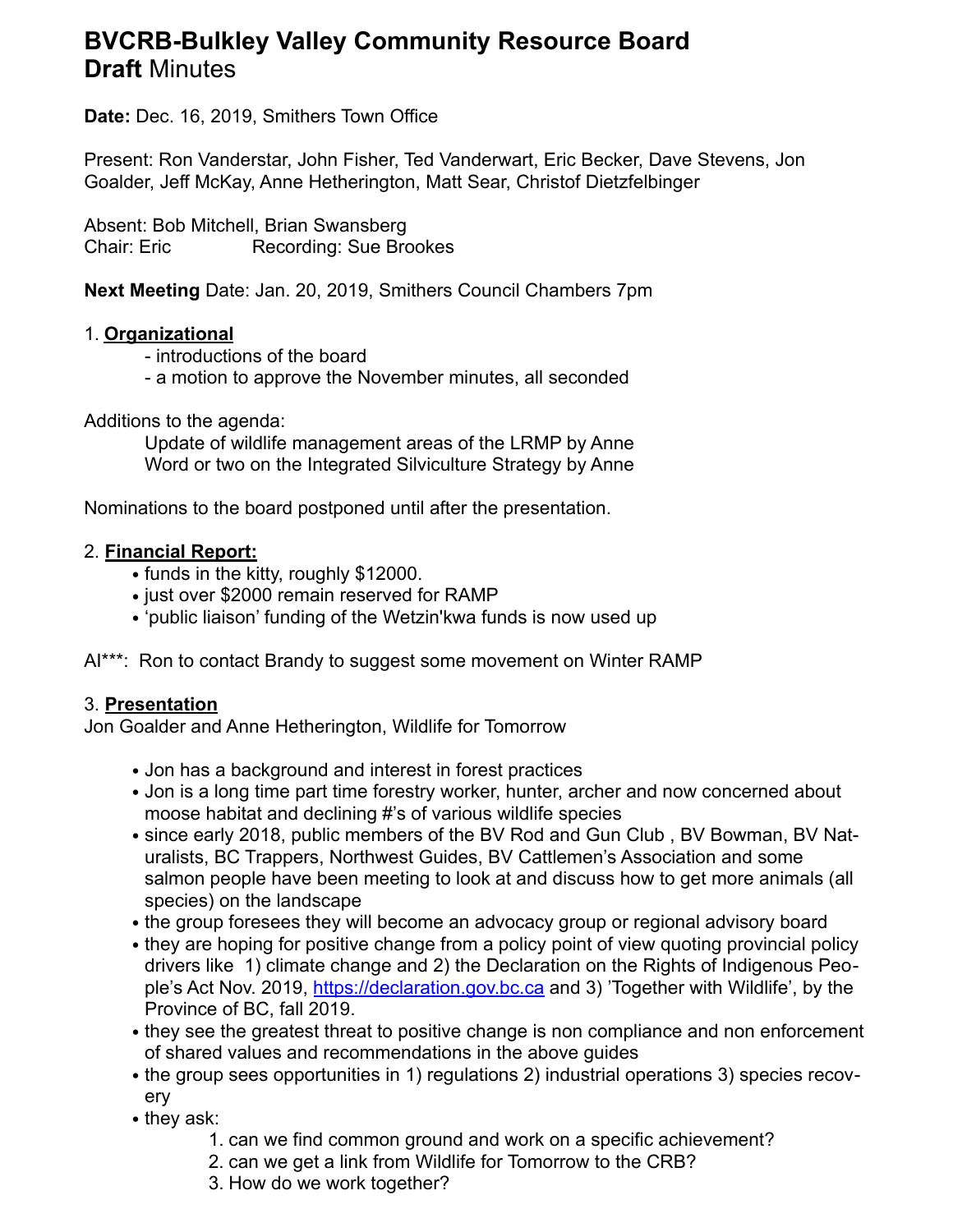# **BVCRB-Bulkley Valley Community Resource Board Draft** Minutes

**Date:** Dec. 16, 2019, Smithers Town Office

Present: Ron Vanderstar, John Fisher, Ted Vanderwart, Eric Becker, Dave Stevens, Jon Goalder, Jeff McKay, Anne Hetherington, Matt Sear, Christof Dietzfelbinger

Absent: Bob Mitchell, Brian Swansberg Chair: Eric Recording: Sue Brookes

**Next Meeting** Date: Jan. 20, 2019, Smithers Council Chambers 7pm

## 1. **Organizational**

- introductions of the board

- a motion to approve the November minutes, all seconded

Additions to the agenda:

Update of wildlife management areas of the LRMP by Anne Word or two on the Integrated Silviculture Strategy by Anne

Nominations to the board postponed until after the presentation.

#### 2. **Financial Report:**

- funds in the kitty, roughly \$12000.
- just over \$2000 remain reserved for RAMP
- 'public liaison' funding of the Wetzin'kwa funds is now used up

AI\*\*\*: Ron to contact Brandy to suggest some movement on Winter RAMP

## 3. **Presentation**

Jon Goalder and Anne Hetherington, Wildlife for Tomorrow

- Jon has a background and interest in forest practices
- Jon is a long time part time forestry worker, hunter, archer and now concerned about moose habitat and declining #'s of various wildlife species
- since early 2018, public members of the BV Rod and Gun Club , BV Bowman, BV Naturalists, BC Trappers, Northwest Guides, BV Cattlemen's Association and some salmon people have been meeting to look at and discuss how to get more animals (all species) on the landscape
- the group foresees they will become an advocacy group or regional advisory board
- they are hoping for positive change from a policy point of view quoting provincial policy drivers like 1) climate change and 2) the Declaration on the Rights of Indigenous People's Act Nov. 2019, <https://declaration.gov.bc.ca>and 3) 'Together with Wildlife', by the Province of BC, fall 2019.
- they see the greatest threat to positive change is non compliance and non enforcement of shared values and recommendations in the above guides
- the group sees opportunities in 1) regulations 2) industrial operations 3) species recovery
- they ask:
	- 1. can we find common ground and work on a specific achievement?
	- 2. can we get a link from Wildlife for Tomorrow to the CRB?
	- 3. How do we work together?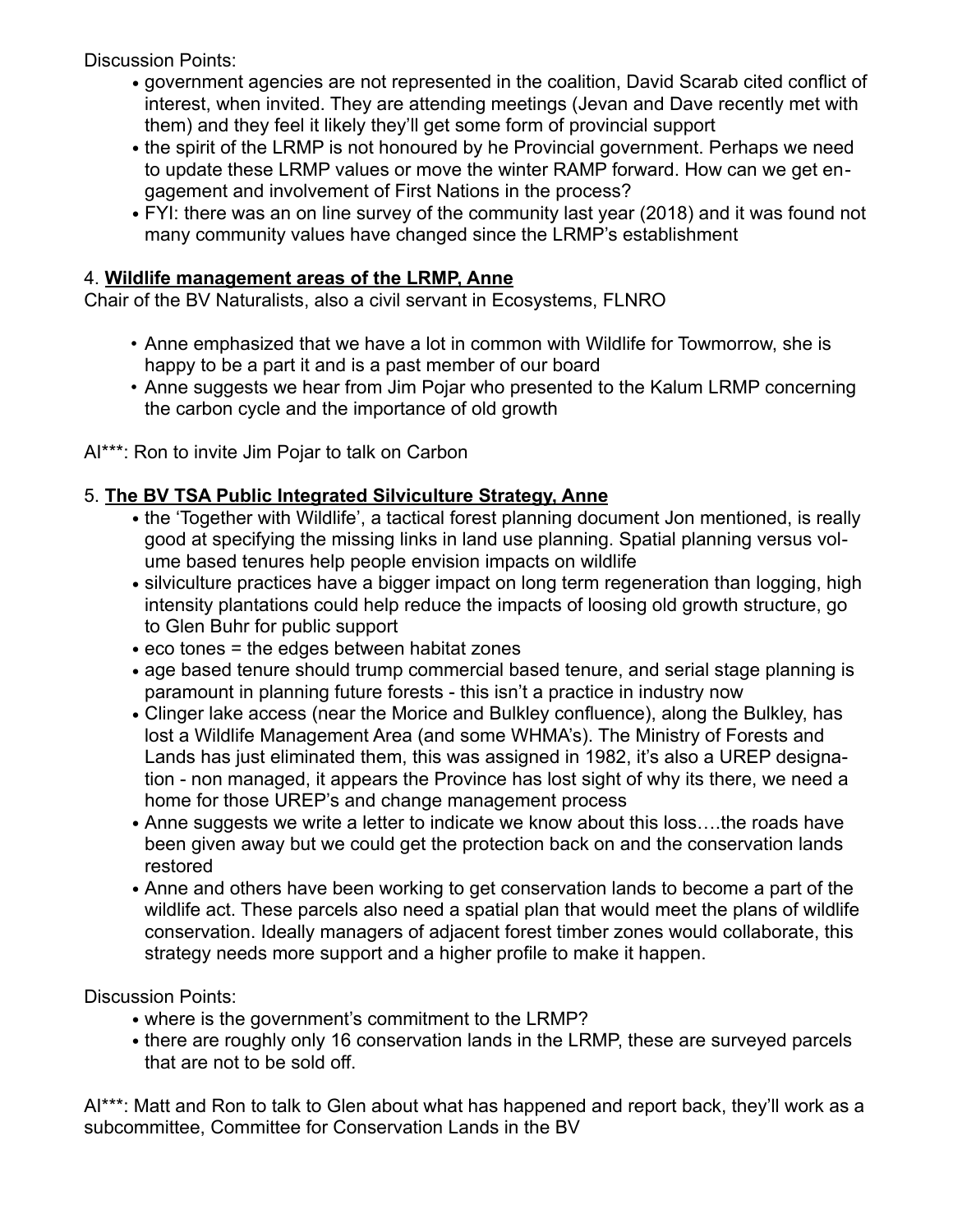Discussion Points:

- government agencies are not represented in the coalition, David Scarab cited conflict of interest, when invited. They are attending meetings (Jevan and Dave recently met with them) and they feel it likely they'll get some form of provincial support
- the spirit of the LRMP is not honoured by he Provincial government. Perhaps we need to update these LRMP values or move the winter RAMP forward. How can we get engagement and involvement of First Nations in the process?
- FYI: there was an on line survey of the community last year (2018) and it was found not many community values have changed since the LRMP's establishment

## 4. **Wildlife management areas of the LRMP, Anne**

Chair of the BV Naturalists, also a civil servant in Ecosystems, FLNRO

- Anne emphasized that we have a lot in common with Wildlife for Towmorrow, she is happy to be a part it and is a past member of our board
- Anne suggests we hear from Jim Pojar who presented to the Kalum LRMP concerning the carbon cycle and the importance of old growth

AI\*\*\*: Ron to invite Jim Pojar to talk on Carbon

# 5. **The BV TSA Public Integrated Silviculture Strategy, Anne**

- the 'Together with Wildlife', a tactical forest planning document Jon mentioned, is really good at specifying the missing links in land use planning. Spatial planning versus volume based tenures help people envision impacts on wildlife
- silviculture practices have a bigger impact on long term regeneration than logging, high intensity plantations could help reduce the impacts of loosing old growth structure, go to Glen Buhr for public support
- eco tones = the edges between habitat zones
- age based tenure should trump commercial based tenure, and serial stage planning is paramount in planning future forests - this isn't a practice in industry now
- Clinger lake access (near the Morice and Bulkley confluence), along the Bulkley, has lost a Wildlife Management Area (and some WHMA's). The Ministry of Forests and Lands has just eliminated them, this was assigned in 1982, it's also a UREP designation - non managed, it appears the Province has lost sight of why its there, we need a home for those UREP's and change management process
- Anne suggests we write a letter to indicate we know about this loss….the roads have been given away but we could get the protection back on and the conservation lands restored
- Anne and others have been working to get conservation lands to become a part of the wildlife act. These parcels also need a spatial plan that would meet the plans of wildlife conservation. Ideally managers of adjacent forest timber zones would collaborate, this strategy needs more support and a higher profile to make it happen.

Discussion Points:

- where is the government's commitment to the LRMP?
- there are roughly only 16 conservation lands in the LRMP, these are surveyed parcels that are not to be sold off.

Al\*\*\*: Matt and Ron to talk to Glen about what has happened and report back, they'll work as a subcommittee, Committee for Conservation Lands in the BV